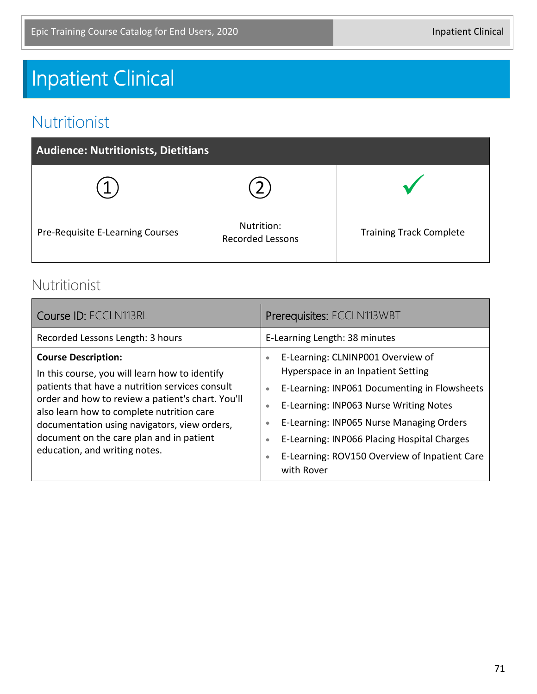# Inpatient Clinical

#### Nutritionist

| <b>Audience: Nutritionists, Dietitians</b> |                                       |                                |
|--------------------------------------------|---------------------------------------|--------------------------------|
|                                            |                                       |                                |
| Pre-Requisite E-Learning Courses           | Nutrition:<br><b>Recorded Lessons</b> | <b>Training Track Complete</b> |

#### Nutritionist

| Course ID: ECCLN113RL                                                                                                                                                                                                                                                                                                                                          | Prerequisites: ECCLN113WBT                                                                                                                                                                                                                                                                                                                                                                                |  |
|----------------------------------------------------------------------------------------------------------------------------------------------------------------------------------------------------------------------------------------------------------------------------------------------------------------------------------------------------------------|-----------------------------------------------------------------------------------------------------------------------------------------------------------------------------------------------------------------------------------------------------------------------------------------------------------------------------------------------------------------------------------------------------------|--|
| Recorded Lessons Length: 3 hours                                                                                                                                                                                                                                                                                                                               | E-Learning Length: 38 minutes                                                                                                                                                                                                                                                                                                                                                                             |  |
| <b>Course Description:</b><br>In this course, you will learn how to identify<br>patients that have a nutrition services consult<br>order and how to review a patient's chart. You'll<br>also learn how to complete nutrition care<br>documentation using navigators, view orders,<br>document on the care plan and in patient<br>education, and writing notes. | E-Learning: CLNINP001 Overview of<br>$\bullet$<br>Hyperspace in an Inpatient Setting<br>E-Learning: INP061 Documenting in Flowsheets<br>$\bullet$<br>E-Learning: INP063 Nurse Writing Notes<br>$\bullet$<br>E-Learning: INP065 Nurse Managing Orders<br>$\bullet$<br>E-Learning: INP066 Placing Hospital Charges<br>$\bullet$<br>E-Learning: ROV150 Overview of Inpatient Care<br>$\bullet$<br>with Rover |  |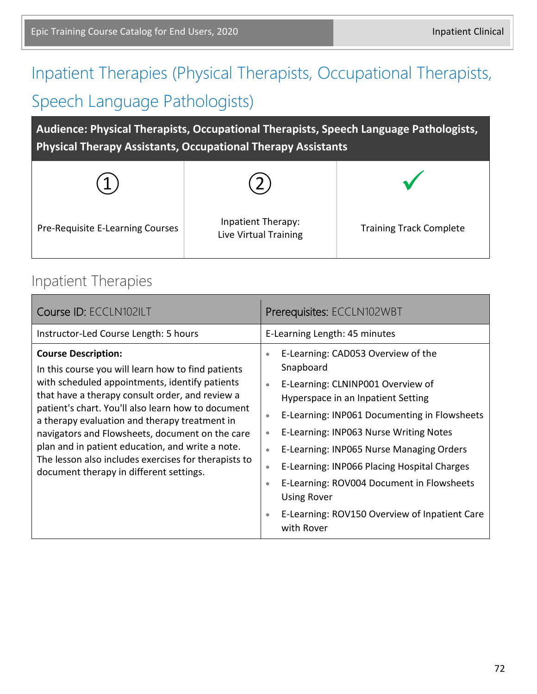# Inpatient Therapies (Physical Therapists, Occupational Therapists, Speech Language Pathologists)

**Audience: Physical Therapists, Occupational Therapists, Speech Language Pathologists, Physical Therapy Assistants, Occupational Therapy Assistants**

| Pre-Requisite E-Learning Courses | Inpatient Therapy:<br>Live Virtual Training | <b>Training Track Complete</b> |
|----------------------------------|---------------------------------------------|--------------------------------|

#### Inpatient Therapies

| Course ID: ECCLN102ILT                                                                                                                                                                                                                                                                                                                                                                                                                                                                                 | Prerequisites: ECCLN102WBT                                                                                                                                                                                                                                                                                                                                                                                                                                                                                                                                |  |
|--------------------------------------------------------------------------------------------------------------------------------------------------------------------------------------------------------------------------------------------------------------------------------------------------------------------------------------------------------------------------------------------------------------------------------------------------------------------------------------------------------|-----------------------------------------------------------------------------------------------------------------------------------------------------------------------------------------------------------------------------------------------------------------------------------------------------------------------------------------------------------------------------------------------------------------------------------------------------------------------------------------------------------------------------------------------------------|--|
| Instructor-Led Course Length: 5 hours                                                                                                                                                                                                                                                                                                                                                                                                                                                                  | E-Learning Length: 45 minutes                                                                                                                                                                                                                                                                                                                                                                                                                                                                                                                             |  |
| <b>Course Description:</b><br>In this course you will learn how to find patients<br>with scheduled appointments, identify patients<br>that have a therapy consult order, and review a<br>patient's chart. You'll also learn how to document<br>a therapy evaluation and therapy treatment in<br>navigators and Flowsheets, document on the care<br>plan and in patient education, and write a note.<br>The lesson also includes exercises for therapists to<br>document therapy in different settings. | E-Learning: CAD053 Overview of the<br>$\bullet$<br>Snapboard<br>E-Learning: CLNINP001 Overview of<br>$\bullet$<br>Hyperspace in an Inpatient Setting<br>E-Learning: INP061 Documenting in Flowsheets<br>$\bullet$<br>E-Learning: INP063 Nurse Writing Notes<br>$\bullet$<br>E-Learning: INP065 Nurse Managing Orders<br>$\bullet$<br>E-Learning: INP066 Placing Hospital Charges<br>$\bullet$<br>E-Learning: ROV004 Document in Flowsheets<br>$\bullet$<br><b>Using Rover</b><br>E-Learning: ROV150 Overview of Inpatient Care<br>$\bullet$<br>with Rover |  |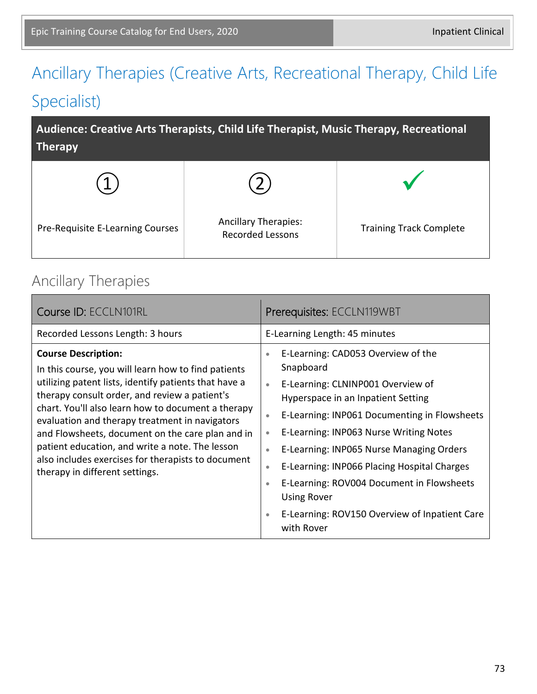# Ancillary Therapies (Creative Arts, Recreational Therapy, Child Life Specialist)

**Audience: Creative Arts Therapists, Child Life Therapist, Music Therapy, Recreational Therapy**



#### Ancillary Therapies

| Course ID: ECCLN101RL                                                                                                                                                                                                                                                                                                                                                                                                                                                                              | Prerequisites: ECCLN119WBT                                                                                                                                                                                                                                                                                                                                                                                                                                                                                                                |  |
|----------------------------------------------------------------------------------------------------------------------------------------------------------------------------------------------------------------------------------------------------------------------------------------------------------------------------------------------------------------------------------------------------------------------------------------------------------------------------------------------------|-------------------------------------------------------------------------------------------------------------------------------------------------------------------------------------------------------------------------------------------------------------------------------------------------------------------------------------------------------------------------------------------------------------------------------------------------------------------------------------------------------------------------------------------|--|
| Recorded Lessons Length: 3 hours                                                                                                                                                                                                                                                                                                                                                                                                                                                                   | E-Learning Length: 45 minutes                                                                                                                                                                                                                                                                                                                                                                                                                                                                                                             |  |
| <b>Course Description:</b><br>In this course, you will learn how to find patients<br>utilizing patent lists, identify patients that have a<br>therapy consult order, and review a patient's<br>chart. You'll also learn how to document a therapy<br>evaluation and therapy treatment in navigators<br>and Flowsheets, document on the care plan and in<br>patient education, and write a note. The lesson<br>also includes exercises for therapists to document<br>therapy in different settings. | E-Learning: CAD053 Overview of the<br>$\bullet$<br>Snapboard<br>E-Learning: CLNINP001 Overview of<br>$\bullet$<br>Hyperspace in an Inpatient Setting<br>E-Learning: INP061 Documenting in Flowsheets<br>$\bullet$<br>E-Learning: INP063 Nurse Writing Notes<br>۰<br>E-Learning: INP065 Nurse Managing Orders<br>$\bullet$<br>E-Learning: INP066 Placing Hospital Charges<br>$\bullet$<br>E-Learning: ROV004 Document in Flowsheets<br>$\bullet$<br><b>Using Rover</b><br>E-Learning: ROV150 Overview of Inpatient Care<br>۰<br>with Rover |  |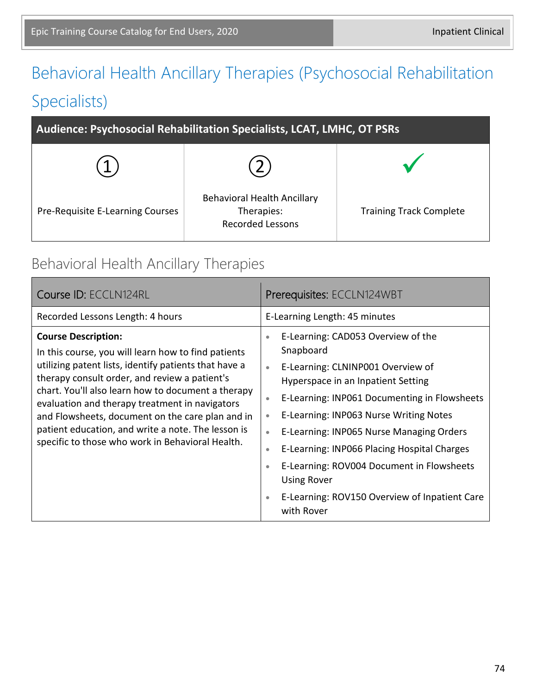# Behavioral Health Ancillary Therapies (Psychosocial Rehabilitation Specialists)

| Audience: Psychosocial Rehabilitation Specialists, LCAT, LMHC, OT PSRs |                                                                             |                                |
|------------------------------------------------------------------------|-----------------------------------------------------------------------------|--------------------------------|
|                                                                        |                                                                             |                                |
| Pre-Requisite E-Learning Courses                                       | <b>Behavioral Health Ancillary</b><br>Therapies:<br><b>Recorded Lessons</b> | <b>Training Track Complete</b> |

#### Behavioral Health Ancillary Therapies

| Course ID: ECCLN124RL                                                                                                                                                                                                                                                                                                                                                                                                                                             | Prerequisites: ECCLN124WBT                                                                                                                                                                                                                                                                                                                                                                                                                                                                                                                                |  |
|-------------------------------------------------------------------------------------------------------------------------------------------------------------------------------------------------------------------------------------------------------------------------------------------------------------------------------------------------------------------------------------------------------------------------------------------------------------------|-----------------------------------------------------------------------------------------------------------------------------------------------------------------------------------------------------------------------------------------------------------------------------------------------------------------------------------------------------------------------------------------------------------------------------------------------------------------------------------------------------------------------------------------------------------|--|
| Recorded Lessons Length: 4 hours                                                                                                                                                                                                                                                                                                                                                                                                                                  | E-Learning Length: 45 minutes                                                                                                                                                                                                                                                                                                                                                                                                                                                                                                                             |  |
| <b>Course Description:</b><br>In this course, you will learn how to find patients<br>utilizing patent lists, identify patients that have a<br>therapy consult order, and review a patient's<br>chart. You'll also learn how to document a therapy<br>evaluation and therapy treatment in navigators<br>and Flowsheets, document on the care plan and in<br>patient education, and write a note. The lesson is<br>specific to those who work in Behavioral Health. | E-Learning: CAD053 Overview of the<br>$\bullet$<br>Snapboard<br>E-Learning: CLNINP001 Overview of<br>$\bullet$<br>Hyperspace in an Inpatient Setting<br>E-Learning: INP061 Documenting in Flowsheets<br>$\bullet$<br>E-Learning: INP063 Nurse Writing Notes<br>$\bullet$<br>E-Learning: INP065 Nurse Managing Orders<br>$\bullet$<br>E-Learning: INP066 Placing Hospital Charges<br>$\bullet$<br>E-Learning: ROV004 Document in Flowsheets<br>$\bullet$<br><b>Using Rover</b><br>E-Learning: ROV150 Overview of Inpatient Care<br>$\bullet$<br>with Rover |  |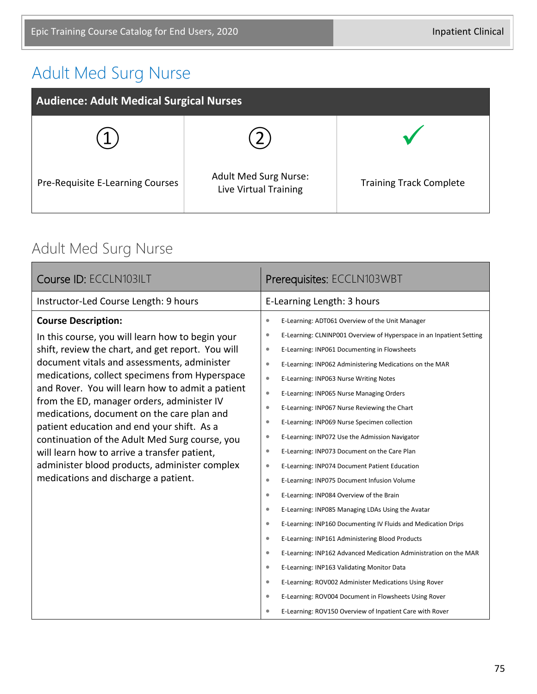## Adult Med Surg Nurse

| <b>Audience: Adult Medical Surgical Nurses</b> |                                                       |                                |
|------------------------------------------------|-------------------------------------------------------|--------------------------------|
|                                                |                                                       |                                |
| Pre-Requisite E-Learning Courses               | <b>Adult Med Surg Nurse:</b><br>Live Virtual Training | <b>Training Track Complete</b> |

### Adult Med Surg Nurse

| Course ID: ECCLN103ILT                                                                                                                                                                                                                                                                                                                                                                                                                                                                                                                                                                                                        | Prerequisites: ECCLN103WBT                                                                                                                                                                                                                                                                                                                                                                                                                                                                                                                                                                                                                                                                                                                                                                                                                                                                                                                                                                                                                                                                                                                                                                                                                                                        |
|-------------------------------------------------------------------------------------------------------------------------------------------------------------------------------------------------------------------------------------------------------------------------------------------------------------------------------------------------------------------------------------------------------------------------------------------------------------------------------------------------------------------------------------------------------------------------------------------------------------------------------|-----------------------------------------------------------------------------------------------------------------------------------------------------------------------------------------------------------------------------------------------------------------------------------------------------------------------------------------------------------------------------------------------------------------------------------------------------------------------------------------------------------------------------------------------------------------------------------------------------------------------------------------------------------------------------------------------------------------------------------------------------------------------------------------------------------------------------------------------------------------------------------------------------------------------------------------------------------------------------------------------------------------------------------------------------------------------------------------------------------------------------------------------------------------------------------------------------------------------------------------------------------------------------------|
| Instructor-Led Course Length: 9 hours                                                                                                                                                                                                                                                                                                                                                                                                                                                                                                                                                                                         | E-Learning Length: 3 hours                                                                                                                                                                                                                                                                                                                                                                                                                                                                                                                                                                                                                                                                                                                                                                                                                                                                                                                                                                                                                                                                                                                                                                                                                                                        |
| <b>Course Description:</b><br>In this course, you will learn how to begin your<br>shift, review the chart, and get report. You will<br>document vitals and assessments, administer<br>medications, collect specimens from Hyperspace<br>and Rover. You will learn how to admit a patient<br>from the ED, manager orders, administer IV<br>medications, document on the care plan and<br>patient education and end your shift. As a<br>continuation of the Adult Med Surg course, you<br>will learn how to arrive a transfer patient,<br>administer blood products, administer complex<br>medications and discharge a patient. | E-Learning: ADT061 Overview of the Unit Manager<br>$\bullet$<br>E-Learning: CLNINP001 Overview of Hyperspace in an Inpatient Setting<br>$\bullet$<br>E-Learning: INP061 Documenting in Flowsheets<br>$\bullet$<br>$\bullet$<br>E-Learning: INP062 Administering Medications on the MAR<br>$\bullet$<br>E-Learning: INP063 Nurse Writing Notes<br>$\bullet$<br>E-Learning: INP065 Nurse Managing Orders<br>$\bullet$<br>E-Learning: INP067 Nurse Reviewing the Chart<br>$\bullet$<br>E-Learning: INP069 Nurse Specimen collection<br>$\bullet$<br>E-Learning: INP072 Use the Admission Navigator<br>E-Learning: INP073 Document on the Care Plan<br>$\bullet$<br>E-Learning: INP074 Document Patient Education<br>$\bullet$<br>E-Learning: INP075 Document Infusion Volume<br>$\bullet$<br>E-Learning: INP084 Overview of the Brain<br>$\bullet$<br>$\bullet$<br>E-Learning: INP085 Managing LDAs Using the Avatar<br>E-Learning: INP160 Documenting IV Fluids and Medication Drips<br>$\bullet$<br>$\bullet$<br>E-Learning: INP161 Administering Blood Products<br>E-Learning: INP162 Advanced Medication Administration on the MAR<br>$\bullet$<br>$\bullet$<br>E-Learning: INP163 Validating Monitor Data<br>E-Learning: ROV002 Administer Medications Using Rover<br>$\bullet$ |
|                                                                                                                                                                                                                                                                                                                                                                                                                                                                                                                                                                                                                               | E-Learning: ROV004 Document in Flowsheets Using Rover<br>$\bullet$<br>E-Learning: ROV150 Overview of Inpatient Care with Rover<br>$\bullet$                                                                                                                                                                                                                                                                                                                                                                                                                                                                                                                                                                                                                                                                                                                                                                                                                                                                                                                                                                                                                                                                                                                                       |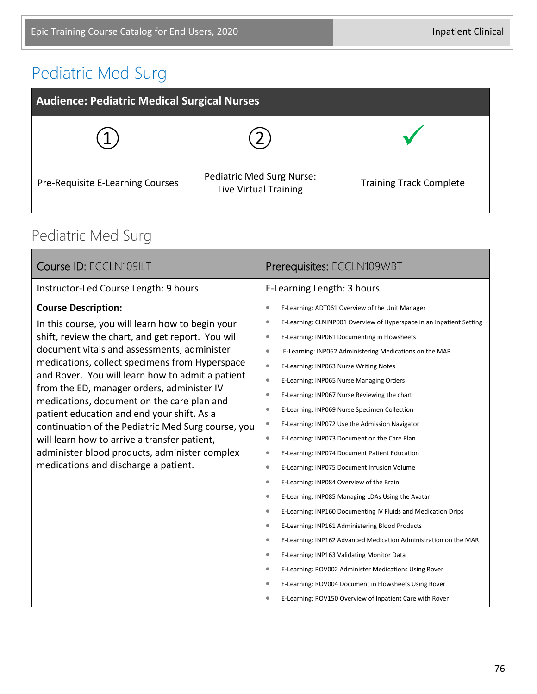### Pediatric Med Surg

| <b>Audience: Pediatric Medical Surgical Nurses</b> |                                                    |                                |
|----------------------------------------------------|----------------------------------------------------|--------------------------------|
|                                                    |                                                    |                                |
| Pre-Requisite E-Learning Courses                   | Pediatric Med Surg Nurse:<br>Live Virtual Training | <b>Training Track Complete</b> |

### Pediatric Med Surg

| Course ID: ECCLN109ILT                                                                                                                                                                                                                                                                                                                                                                                                                                                                                                                                                                                                            | Prerequisites: ECCLN109WBT                                                                                                                                                                                                                                                                                                                                                                                                                                                                                                                                                                                                                                                                                                                                                                                                                                                                                                                                                                                                                                                                                                                                                                                                                                                                                                                                                                                       |  |
|-----------------------------------------------------------------------------------------------------------------------------------------------------------------------------------------------------------------------------------------------------------------------------------------------------------------------------------------------------------------------------------------------------------------------------------------------------------------------------------------------------------------------------------------------------------------------------------------------------------------------------------|------------------------------------------------------------------------------------------------------------------------------------------------------------------------------------------------------------------------------------------------------------------------------------------------------------------------------------------------------------------------------------------------------------------------------------------------------------------------------------------------------------------------------------------------------------------------------------------------------------------------------------------------------------------------------------------------------------------------------------------------------------------------------------------------------------------------------------------------------------------------------------------------------------------------------------------------------------------------------------------------------------------------------------------------------------------------------------------------------------------------------------------------------------------------------------------------------------------------------------------------------------------------------------------------------------------------------------------------------------------------------------------------------------------|--|
| Instructor-Led Course Length: 9 hours                                                                                                                                                                                                                                                                                                                                                                                                                                                                                                                                                                                             | E-Learning Length: 3 hours                                                                                                                                                                                                                                                                                                                                                                                                                                                                                                                                                                                                                                                                                                                                                                                                                                                                                                                                                                                                                                                                                                                                                                                                                                                                                                                                                                                       |  |
| <b>Course Description:</b><br>In this course, you will learn how to begin your<br>shift, review the chart, and get report. You will<br>document vitals and assessments, administer<br>medications, collect specimens from Hyperspace<br>and Rover. You will learn how to admit a patient<br>from the ED, manager orders, administer IV<br>medications, document on the care plan and<br>patient education and end your shift. As a<br>continuation of the Pediatric Med Surg course, you<br>will learn how to arrive a transfer patient,<br>administer blood products, administer complex<br>medications and discharge a patient. | E-Learning: ADT061 Overview of the Unit Manager<br>$\bullet$<br>E-Learning: CLNINP001 Overview of Hyperspace in an Inpatient Setting<br>$\bullet$<br>E-Learning: INP061 Documenting in Flowsheets<br>$\bullet$<br>$\bullet$<br>E-Learning: INP062 Administering Medications on the MAR<br>$\bullet$<br>E-Learning: INP063 Nurse Writing Notes<br>E-Learning: INP065 Nurse Managing Orders<br>$\bullet$<br>E-Learning: INP067 Nurse Reviewing the chart<br>$\bullet$<br>E-Learning: INP069 Nurse Specimen Collection<br>$\bullet$<br>E-Learning: INP072 Use the Admission Navigator<br>$\bullet$<br>E-Learning: INP073 Document on the Care Plan<br>$\bullet$<br>E-Learning: INP074 Document Patient Education<br>$\bullet$<br>E-Learning: INP075 Document Infusion Volume<br>$\bullet$<br>E-Learning: INP084 Overview of the Brain<br>۰<br>$\bullet$<br>E-Learning: INP085 Managing LDAs Using the Avatar<br>E-Learning: INP160 Documenting IV Fluids and Medication Drips<br>$\bullet$<br>E-Learning: INP161 Administering Blood Products<br>$\bullet$<br>E-Learning: INP162 Advanced Medication Administration on the MAR<br>۰<br>E-Learning: INP163 Validating Monitor Data<br>$\bullet$<br>E-Learning: ROV002 Administer Medications Using Rover<br>$\bullet$<br>E-Learning: ROV004 Document in Flowsheets Using Rover<br>$\bullet$<br>E-Learning: ROV150 Overview of Inpatient Care with Rover<br>$\bullet$ |  |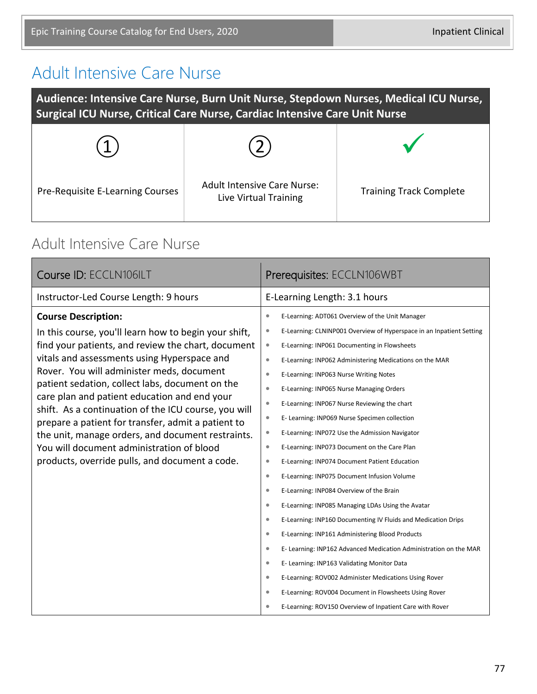#### Adult Intensive Care Nurse

**Audience: Intensive Care Nurse, Burn Unit Nurse, Stepdown Nurses, Medical ICU Nurse, Surgical ICU Nurse, Critical Care Nurse, Cardiac Intensive Care Unit Nurse**

| Pre-Requisite E-Learning Courses | <b>Adult Intensive Care Nurse:</b><br>Live Virtual Training | <b>Training Track Complete</b> |
|----------------------------------|-------------------------------------------------------------|--------------------------------|

#### Adult Intensive Care Nurse

| Course ID: ECCLN106ILT                                                                                                                                                                                                                                                                                                                                                                                                                                                                                                                                                                                     | Prerequisites: ECCLN106WBT                                                                                                                                                                                                                                                                                                                                                                                                                                                                                                                                                                                                                                                                                                                                                                                                                       |  |
|------------------------------------------------------------------------------------------------------------------------------------------------------------------------------------------------------------------------------------------------------------------------------------------------------------------------------------------------------------------------------------------------------------------------------------------------------------------------------------------------------------------------------------------------------------------------------------------------------------|--------------------------------------------------------------------------------------------------------------------------------------------------------------------------------------------------------------------------------------------------------------------------------------------------------------------------------------------------------------------------------------------------------------------------------------------------------------------------------------------------------------------------------------------------------------------------------------------------------------------------------------------------------------------------------------------------------------------------------------------------------------------------------------------------------------------------------------------------|--|
| Instructor-Led Course Length: 9 hours                                                                                                                                                                                                                                                                                                                                                                                                                                                                                                                                                                      | E-Learning Length: 3.1 hours                                                                                                                                                                                                                                                                                                                                                                                                                                                                                                                                                                                                                                                                                                                                                                                                                     |  |
| <b>Course Description:</b><br>In this course, you'll learn how to begin your shift,<br>find your patients, and review the chart, document<br>vitals and assessments using Hyperspace and<br>Rover. You will administer meds, document<br>patient sedation, collect labs, document on the<br>care plan and patient education and end your<br>shift. As a continuation of the ICU course, you will<br>prepare a patient for transfer, admit a patient to<br>the unit, manage orders, and document restraints.<br>You will document administration of blood<br>products, override pulls, and document a code. | E-Learning: ADT061 Overview of the Unit Manager<br>$\bullet$<br>E-Learning: CLNINP001 Overview of Hyperspace in an Inpatient Setting<br>$\bullet$<br>E-Learning: INP061 Documenting in Flowsheets<br>$\bullet$<br>$\bullet$<br>E-Learning: INP062 Administering Medications on the MAR<br>E-Learning: INP063 Nurse Writing Notes<br>$\bullet$<br>E-Learning: INP065 Nurse Managing Orders<br>$\bullet$<br>E-Learning: INP067 Nurse Reviewing the chart<br>$\bullet$<br>$\bullet$<br>E- Learning: INP069 Nurse Specimen collection<br>E-Learning: INP072 Use the Admission Navigator<br>$\bullet$<br>E-Learning: INP073 Document on the Care Plan<br>$\bullet$<br>E-Learning: INP074 Document Patient Education<br>$\bullet$<br>E-Learning: INP075 Document Infusion Volume<br>$\bullet$<br>E-Learning: INP084 Overview of the Brain<br>$\bullet$ |  |
|                                                                                                                                                                                                                                                                                                                                                                                                                                                                                                                                                                                                            | $\bullet$<br>E-Learning: INP085 Managing LDAs Using the Avatar<br>E-Learning: INP160 Documenting IV Fluids and Medication Drips<br>$\bullet$<br>$\bullet$<br>E-Learning: INP161 Administering Blood Products<br>E- Learning: INP162 Advanced Medication Administration on the MAR<br>$\bullet$<br>E- Learning: INP163 Validating Monitor Data<br>$\bullet$<br>$\bullet$<br>E-Learning: ROV002 Administer Medications Using Rover<br>E-Learning: ROV004 Document in Flowsheets Using Rover<br>$\bullet$<br>E-Learning: ROV150 Overview of Inpatient Care with Rover<br>$\bullet$                                                                                                                                                                                                                                                                  |  |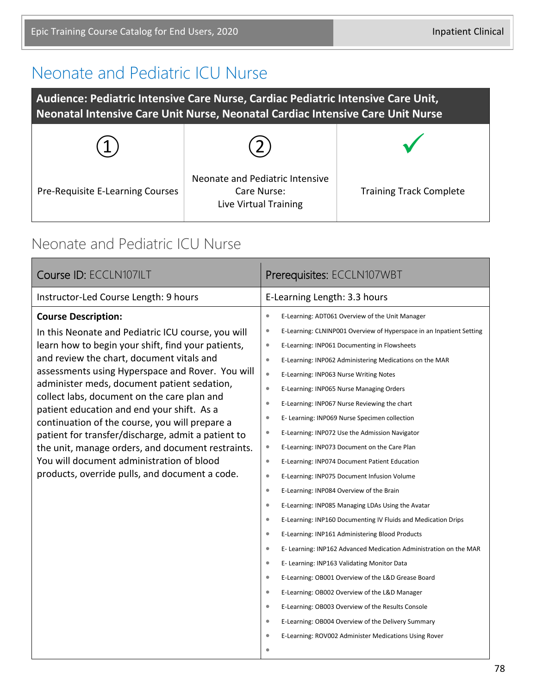#### Neonate and Pediatric ICU Nurse

**Audience: Pediatric Intensive Care Nurse, Cardiac Pediatric Intensive Care Unit, Neonatal Intensive Care Unit Nurse, Neonatal Cardiac Intensive Care Unit Nurse**

| Pre-Requisite E-Learning Courses | Neonate and Pediatric Intensive<br>Care Nurse:<br>Live Virtual Training | <b>Training Track Complete</b> |
|----------------------------------|-------------------------------------------------------------------------|--------------------------------|

#### Neonate and Pediatric ICU Nurse

| Prerequisites: ECCLN107WBT                                                                                                                                                                                                                                                                                                                                                                                                                                                                                                                                                                                                                                                                                                                                                                                                                                                                                                                                                                                                                                                                                                                                                                                                                                                                                                                                                                                                                                                   |  |
|------------------------------------------------------------------------------------------------------------------------------------------------------------------------------------------------------------------------------------------------------------------------------------------------------------------------------------------------------------------------------------------------------------------------------------------------------------------------------------------------------------------------------------------------------------------------------------------------------------------------------------------------------------------------------------------------------------------------------------------------------------------------------------------------------------------------------------------------------------------------------------------------------------------------------------------------------------------------------------------------------------------------------------------------------------------------------------------------------------------------------------------------------------------------------------------------------------------------------------------------------------------------------------------------------------------------------------------------------------------------------------------------------------------------------------------------------------------------------|--|
| E-Learning Length: 3.3 hours                                                                                                                                                                                                                                                                                                                                                                                                                                                                                                                                                                                                                                                                                                                                                                                                                                                                                                                                                                                                                                                                                                                                                                                                                                                                                                                                                                                                                                                 |  |
| $\bullet$<br>E-Learning: ADT061 Overview of the Unit Manager<br>E-Learning: CLNINP001 Overview of Hyperspace in an Inpatient Setting<br>$\bullet$<br>$\bullet$<br>E-Learning: INP061 Documenting in Flowsheets<br>$\bullet$<br>E-Learning: INP062 Administering Medications on the MAR<br>$\bullet$<br>E-Learning: INP063 Nurse Writing Notes<br>$\bullet$<br>E-Learning: INP065 Nurse Managing Orders<br>$\bullet$<br>E-Learning: INP067 Nurse Reviewing the chart<br>$\bullet$<br>E- Learning: INP069 Nurse Specimen collection<br>$\bullet$<br>E-Learning: INP072 Use the Admission Navigator<br>$\bullet$<br>E-Learning: INP073 Document on the Care Plan<br>$\bullet$<br>E-Learning: INP074 Document Patient Education<br>$\bullet$<br>E-Learning: INP075 Document Infusion Volume<br>$\bullet$<br>E-Learning: INP084 Overview of the Brain<br>$\bullet$<br>E-Learning: INP085 Managing LDAs Using the Avatar<br>E-Learning: INP160 Documenting IV Fluids and Medication Drips<br>$\bullet$<br>$\bullet$<br>E-Learning: INP161 Administering Blood Products<br>E- Learning: INP162 Advanced Medication Administration on the MAR<br>$\bullet$<br>E- Learning: INP163 Validating Monitor Data<br>$\bullet$<br>E-Learning: OB001 Overview of the L&D Grease Board<br>$\bullet$<br>E-Learning: OB002 Overview of the L&D Manager<br>$\bullet$<br>E-Learning: OB003 Overview of the Results Console<br>$\bullet$<br>E-Learning: OB004 Overview of the Delivery Summary<br>۰ |  |
| E-Learning: ROV002 Administer Medications Using Rover<br>٠                                                                                                                                                                                                                                                                                                                                                                                                                                                                                                                                                                                                                                                                                                                                                                                                                                                                                                                                                                                                                                                                                                                                                                                                                                                                                                                                                                                                                   |  |
|                                                                                                                                                                                                                                                                                                                                                                                                                                                                                                                                                                                                                                                                                                                                                                                                                                                                                                                                                                                                                                                                                                                                                                                                                                                                                                                                                                                                                                                                              |  |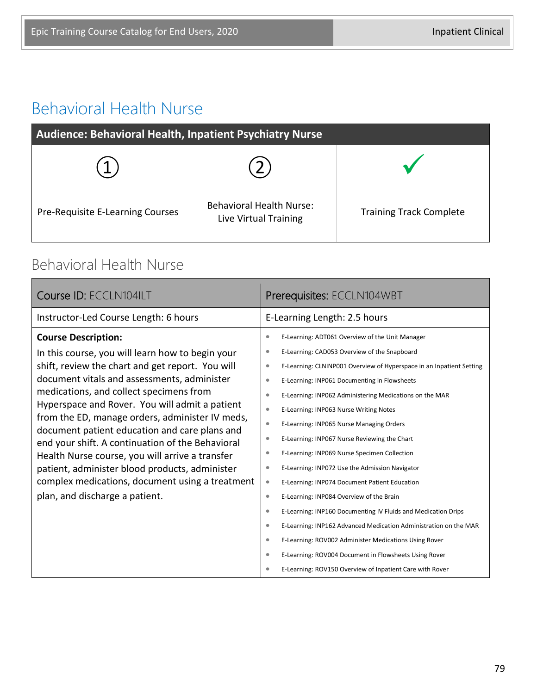### Behavioral Health Nurse

| Audience: Behavioral Health, Inpatient Psychiatry Nurse |                                                          |                                |
|---------------------------------------------------------|----------------------------------------------------------|--------------------------------|
|                                                         |                                                          |                                |
| Pre-Requisite E-Learning Courses                        | <b>Behavioral Health Nurse:</b><br>Live Virtual Training | <b>Training Track Complete</b> |

#### Behavioral Health Nurse

| Course ID: ECCLN104ILT                                                                                                                                                                                                                                                                                                                                                                                                                                                                                                                                                                                                           | Prerequisites: ECCLN104WBT                                                                                                                                                                                                                                                                                                                                                                                                                          |
|----------------------------------------------------------------------------------------------------------------------------------------------------------------------------------------------------------------------------------------------------------------------------------------------------------------------------------------------------------------------------------------------------------------------------------------------------------------------------------------------------------------------------------------------------------------------------------------------------------------------------------|-----------------------------------------------------------------------------------------------------------------------------------------------------------------------------------------------------------------------------------------------------------------------------------------------------------------------------------------------------------------------------------------------------------------------------------------------------|
| Instructor-Led Course Length: 6 hours                                                                                                                                                                                                                                                                                                                                                                                                                                                                                                                                                                                            | E-Learning Length: 2.5 hours                                                                                                                                                                                                                                                                                                                                                                                                                        |
| <b>Course Description:</b><br>In this course, you will learn how to begin your<br>shift, review the chart and get report. You will<br>document vitals and assessments, administer<br>medications, and collect specimens from<br>Hyperspace and Rover. You will admit a patient<br>from the ED, manage orders, administer IV meds,<br>document patient education and care plans and<br>end your shift. A continuation of the Behavioral<br>Health Nurse course, you will arrive a transfer<br>patient, administer blood products, administer<br>complex medications, document using a treatment<br>plan, and discharge a patient. | E-Learning: ADT061 Overview of the Unit Manager<br>۰<br>E-Learning: CAD053 Overview of the Snapboard<br>۰<br>E-Learning: CLNINP001 Overview of Hyperspace in an Inpatient Setting<br>$\bullet$<br>E-Learning: INP061 Documenting in Flowsheets<br>$\bullet$<br>E-Learning: INP062 Administering Medications on the MAR<br>$\bullet$<br>E-Learning: INP063 Nurse Writing Notes<br>$\bullet$<br>E-Learning: INP065 Nurse Managing Orders<br>$\bullet$ |
|                                                                                                                                                                                                                                                                                                                                                                                                                                                                                                                                                                                                                                  | E-Learning: INP067 Nurse Reviewing the Chart<br>۰<br>E-Learning: INP069 Nurse Specimen Collection<br>۰<br>E-Learning: INP072 Use the Admission Navigator<br>۰<br>E-Learning: INP074 Document Patient Education<br>$\bullet$<br>E-Learning: INP084 Overview of the Brain<br>$\bullet$                                                                                                                                                                |
|                                                                                                                                                                                                                                                                                                                                                                                                                                                                                                                                                                                                                                  | E-Learning: INP160 Documenting IV Fluids and Medication Drips<br>$\bullet$<br>E-Learning: INP162 Advanced Medication Administration on the MAR<br>$\bullet$<br>E-Learning: ROV002 Administer Medications Using Rover<br>$\bullet$<br>E-Learning: ROV004 Document in Flowsheets Using Rover<br>$\bullet$<br>E-Learning: ROV150 Overview of Inpatient Care with Rover<br>۰                                                                            |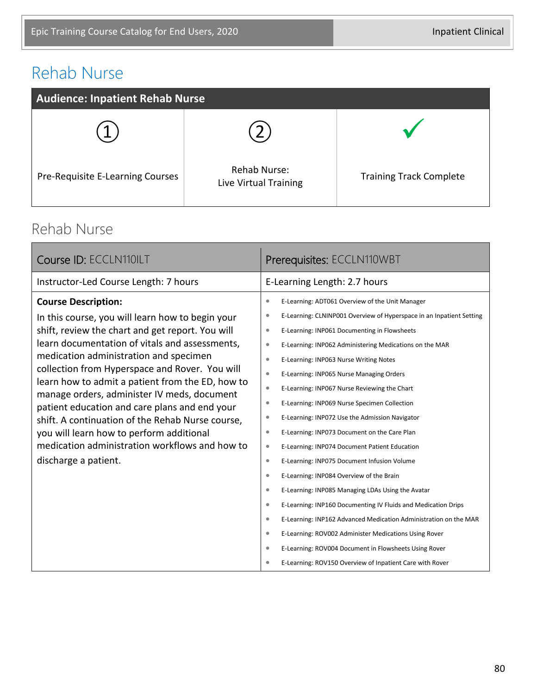### Rehab Nurse

| <b>Audience: Inpatient Rehab Nurse</b> |                                              |                                |
|----------------------------------------|----------------------------------------------|--------------------------------|
|                                        |                                              |                                |
| Pre-Requisite E-Learning Courses       | <b>Rehab Nurse:</b><br>Live Virtual Training | <b>Training Track Complete</b> |

#### Rehab Nurse

| Prerequisites: ECCLN110WBT                                                                                                                                                                                                                                                                                                                                                                                                                                                                                                                                                                                                                                                                                                                                                                                                                                                                                                                                                                                                                                                                                                                                                                                   |
|--------------------------------------------------------------------------------------------------------------------------------------------------------------------------------------------------------------------------------------------------------------------------------------------------------------------------------------------------------------------------------------------------------------------------------------------------------------------------------------------------------------------------------------------------------------------------------------------------------------------------------------------------------------------------------------------------------------------------------------------------------------------------------------------------------------------------------------------------------------------------------------------------------------------------------------------------------------------------------------------------------------------------------------------------------------------------------------------------------------------------------------------------------------------------------------------------------------|
| E-Learning Length: 2.7 hours                                                                                                                                                                                                                                                                                                                                                                                                                                                                                                                                                                                                                                                                                                                                                                                                                                                                                                                                                                                                                                                                                                                                                                                 |
| E-Learning: ADT061 Overview of the Unit Manager<br>$\bullet$<br>E-Learning: CLNINP001 Overview of Hyperspace in an Inpatient Setting<br>$\bullet$<br>E-Learning: INP061 Documenting in Flowsheets<br>$\bullet$<br>E-Learning: INP062 Administering Medications on the MAR<br>$\bullet$<br>E-Learning: INP063 Nurse Writing Notes<br>$\bullet$<br>$\bullet$<br>E-Learning: INP065 Nurse Managing Orders<br>E-Learning: INP067 Nurse Reviewing the Chart<br>$\bullet$<br>E-Learning: INP069 Nurse Specimen Collection<br>۰<br>E-Learning: INP072 Use the Admission Navigator<br>$\bullet$<br>E-Learning: INP073 Document on the Care Plan<br>$\bullet$<br>E-Learning: INP074 Document Patient Education<br>$\bullet$<br>E-Learning: INP075 Document Infusion Volume<br>$\bullet$<br>E-Learning: INP084 Overview of the Brain<br>$\bullet$<br>E-Learning: INP085 Managing LDAs Using the Avatar<br>$\bullet$<br>E-Learning: INP160 Documenting IV Fluids and Medication Drips<br>$\bullet$<br>E-Learning: INP162 Advanced Medication Administration on the MAR<br>$\bullet$<br>E-Learning: ROV002 Administer Medications Using Rover<br>۰<br>E-Learning: ROV004 Document in Flowsheets Using Rover<br>$\bullet$ |
| E-Learning: ROV150 Overview of Inpatient Care with Rover<br>۰                                                                                                                                                                                                                                                                                                                                                                                                                                                                                                                                                                                                                                                                                                                                                                                                                                                                                                                                                                                                                                                                                                                                                |
|                                                                                                                                                                                                                                                                                                                                                                                                                                                                                                                                                                                                                                                                                                                                                                                                                                                                                                                                                                                                                                                                                                                                                                                                              |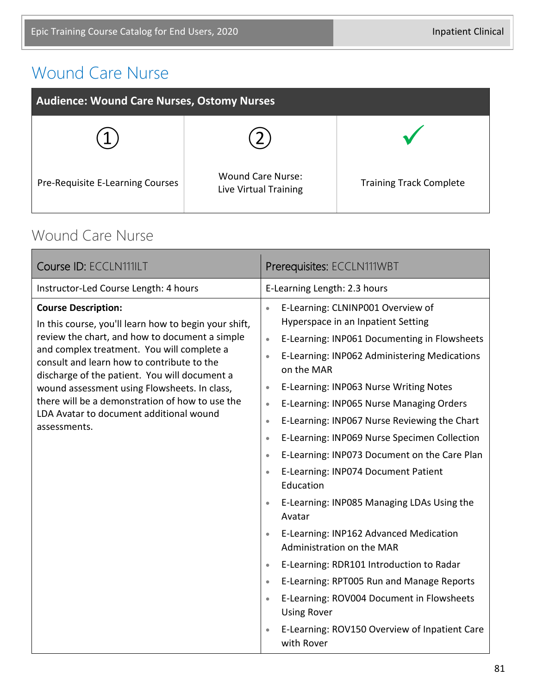### Wound Care Nurse

| <b>Audience: Wound Care Nurses, Ostomy Nurses</b> |                                                   |                                |
|---------------------------------------------------|---------------------------------------------------|--------------------------------|
|                                                   |                                                   |                                |
| Pre-Requisite E-Learning Courses                  | <b>Wound Care Nurse:</b><br>Live Virtual Training | <b>Training Track Complete</b> |

#### Wound Care Nurse

| Course ID: ECCLN111ILT                                                                                                                                                                                                                                                                                                                                                                                                                           | Prerequisites: ECCLN111WBT                                                                                                                                                                                                                                                                                                                                                                                                                                                                                                                                                                                                                                                                                                                                                                                                                                                                                                                                                                                                                   |  |
|--------------------------------------------------------------------------------------------------------------------------------------------------------------------------------------------------------------------------------------------------------------------------------------------------------------------------------------------------------------------------------------------------------------------------------------------------|----------------------------------------------------------------------------------------------------------------------------------------------------------------------------------------------------------------------------------------------------------------------------------------------------------------------------------------------------------------------------------------------------------------------------------------------------------------------------------------------------------------------------------------------------------------------------------------------------------------------------------------------------------------------------------------------------------------------------------------------------------------------------------------------------------------------------------------------------------------------------------------------------------------------------------------------------------------------------------------------------------------------------------------------|--|
| Instructor-Led Course Length: 4 hours                                                                                                                                                                                                                                                                                                                                                                                                            | E-Learning Length: 2.3 hours                                                                                                                                                                                                                                                                                                                                                                                                                                                                                                                                                                                                                                                                                                                                                                                                                                                                                                                                                                                                                 |  |
| <b>Course Description:</b><br>In this course, you'll learn how to begin your shift,<br>review the chart, and how to document a simple<br>and complex treatment. You will complete a<br>consult and learn how to contribute to the<br>discharge of the patient. You will document a<br>wound assessment using Flowsheets. In class,<br>there will be a demonstration of how to use the<br>LDA Avatar to document additional wound<br>assessments. | E-Learning: CLNINP001 Overview of<br>$\bullet$<br>Hyperspace in an Inpatient Setting<br>E-Learning: INP061 Documenting in Flowsheets<br>$\bullet$<br>E-Learning: INP062 Administering Medications<br>$\bullet$<br>on the MAR<br>E-Learning: INP063 Nurse Writing Notes<br>$\bullet$<br>E-Learning: INP065 Nurse Managing Orders<br>$\bullet$<br>E-Learning: INP067 Nurse Reviewing the Chart<br>$\bullet$<br>E-Learning: INP069 Nurse Specimen Collection<br>$\bullet$<br>E-Learning: INP073 Document on the Care Plan<br>$\bullet$<br>E-Learning: INP074 Document Patient<br>$\bullet$<br>Education<br>E-Learning: INP085 Managing LDAs Using the<br>$\bullet$<br>Avatar<br>E-Learning: INP162 Advanced Medication<br>$\bullet$<br>Administration on the MAR<br>E-Learning: RDR101 Introduction to Radar<br>$\bullet$<br>E-Learning: RPT005 Run and Manage Reports<br>$\bullet$<br>E-Learning: ROV004 Document in Flowsheets<br>$\bullet$<br><b>Using Rover</b><br>E-Learning: ROV150 Overview of Inpatient Care<br>$\bullet$<br>with Rover |  |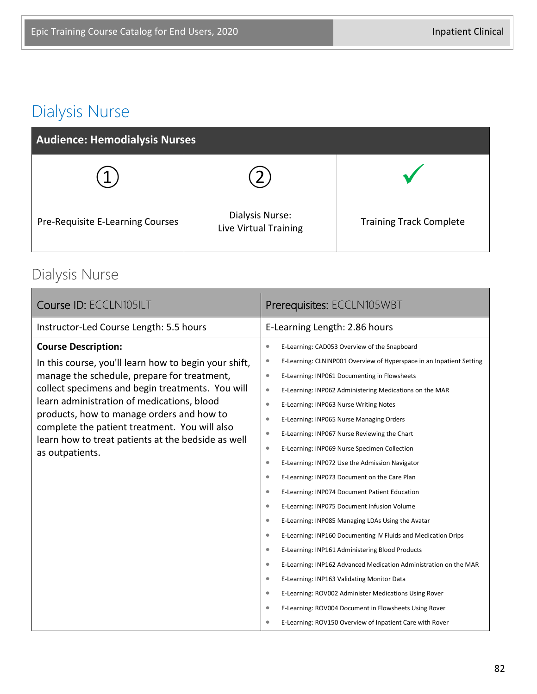### Dialysis Nurse

| <b>Audience: Hemodialysis Nurses</b> |                                          |                                |
|--------------------------------------|------------------------------------------|--------------------------------|
|                                      |                                          |                                |
| Pre-Requisite E-Learning Courses     | Dialysis Nurse:<br>Live Virtual Training | <b>Training Track Complete</b> |

### Dialysis Nurse

| Course ID: ECCLN105ILT                                                                                                                                                                                                                             | Prerequisites: ECCLN105WBT                                                    |  |
|----------------------------------------------------------------------------------------------------------------------------------------------------------------------------------------------------------------------------------------------------|-------------------------------------------------------------------------------|--|
| Instructor-Led Course Length: 5.5 hours                                                                                                                                                                                                            | E-Learning Length: 2.86 hours                                                 |  |
| <b>Course Description:</b>                                                                                                                                                                                                                         | E-Learning: CAD053 Overview of the Snapboard<br>$\bullet$                     |  |
| In this course, you'll learn how to begin your shift,                                                                                                                                                                                              | E-Learning: CLNINP001 Overview of Hyperspace in an Inpatient Setting<br>۰     |  |
| manage the schedule, prepare for treatment,                                                                                                                                                                                                        | E-Learning: INP061 Documenting in Flowsheets<br>$\bullet$                     |  |
| collect specimens and begin treatments. You will<br>learn administration of medications, blood<br>products, how to manage orders and how to<br>complete the patient treatment. You will also<br>learn how to treat patients at the bedside as well | $\bullet$<br>E-Learning: INP062 Administering Medications on the MAR          |  |
|                                                                                                                                                                                                                                                    | E-Learning: INP063 Nurse Writing Notes<br>$\bullet$                           |  |
|                                                                                                                                                                                                                                                    | E-Learning: INP065 Nurse Managing Orders<br>$\bullet$                         |  |
|                                                                                                                                                                                                                                                    | E-Learning: INP067 Nurse Reviewing the Chart<br>$\bullet$                     |  |
| as outpatients.                                                                                                                                                                                                                                    | E-Learning: INP069 Nurse Specimen Collection<br>$\bullet$                     |  |
|                                                                                                                                                                                                                                                    | E-Learning: INP072 Use the Admission Navigator<br>$\bullet$                   |  |
|                                                                                                                                                                                                                                                    | E-Learning: INP073 Document on the Care Plan<br>$\bullet$                     |  |
|                                                                                                                                                                                                                                                    | E-Learning: INP074 Document Patient Education<br>$\bullet$                    |  |
|                                                                                                                                                                                                                                                    | E-Learning: INP075 Document Infusion Volume<br>$\bullet$                      |  |
|                                                                                                                                                                                                                                                    | E-Learning: INP085 Managing LDAs Using the Avatar<br>$\bullet$                |  |
|                                                                                                                                                                                                                                                    | E-Learning: INP160 Documenting IV Fluids and Medication Drips<br>$\bullet$    |  |
|                                                                                                                                                                                                                                                    | $\bullet$<br>E-Learning: INP161 Administering Blood Products                  |  |
|                                                                                                                                                                                                                                                    | E-Learning: INP162 Advanced Medication Administration on the MAR<br>$\bullet$ |  |
|                                                                                                                                                                                                                                                    | E-Learning: INP163 Validating Monitor Data<br>$\bullet$                       |  |
|                                                                                                                                                                                                                                                    | E-Learning: ROV002 Administer Medications Using Rover<br>$\bullet$            |  |
|                                                                                                                                                                                                                                                    | E-Learning: ROV004 Document in Flowsheets Using Rover<br>۰                    |  |
|                                                                                                                                                                                                                                                    | E-Learning: ROV150 Overview of Inpatient Care with Rover<br>$\bullet$         |  |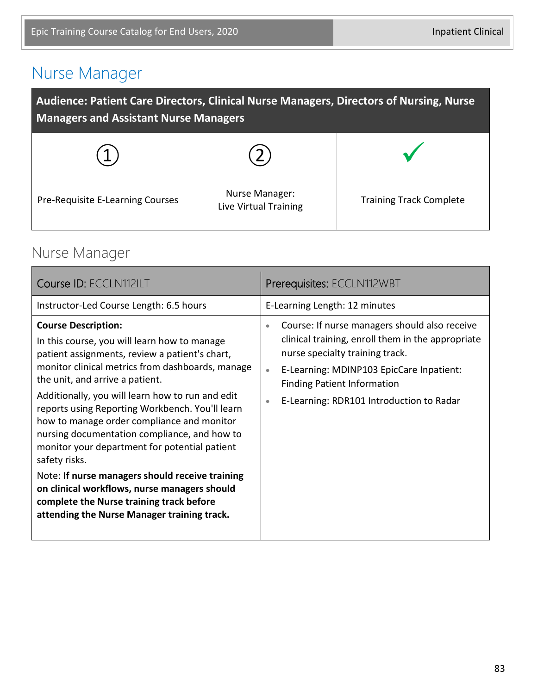### Nurse Manager

| Audience: Patient Care Directors, Clinical Nurse Managers, Directors of Nursing, Nurse<br><b>Managers and Assistant Nurse Managers</b> |                                         |                                |  |
|----------------------------------------------------------------------------------------------------------------------------------------|-----------------------------------------|--------------------------------|--|
|                                                                                                                                        |                                         |                                |  |
| Pre-Requisite E-Learning Courses                                                                                                       | Nurse Manager:<br>Live Virtual Training | <b>Training Track Complete</b> |  |

### Nurse Manager

| <b>Course ID: ECCLN112ILT</b>                                                                                                                                                                                                                                                                                                                                                                                                                                                                                                                                                                                                                                                            | Prerequisites: ECCLN112WBT                                                                                                                                                                                                                                                                                 |
|------------------------------------------------------------------------------------------------------------------------------------------------------------------------------------------------------------------------------------------------------------------------------------------------------------------------------------------------------------------------------------------------------------------------------------------------------------------------------------------------------------------------------------------------------------------------------------------------------------------------------------------------------------------------------------------|------------------------------------------------------------------------------------------------------------------------------------------------------------------------------------------------------------------------------------------------------------------------------------------------------------|
| Instructor-Led Course Length: 6.5 hours                                                                                                                                                                                                                                                                                                                                                                                                                                                                                                                                                                                                                                                  | E-Learning Length: 12 minutes                                                                                                                                                                                                                                                                              |
| <b>Course Description:</b><br>In this course, you will learn how to manage<br>patient assignments, review a patient's chart,<br>monitor clinical metrics from dashboards, manage<br>the unit, and arrive a patient.<br>Additionally, you will learn how to run and edit<br>reports using Reporting Workbench. You'll learn<br>how to manage order compliance and monitor<br>nursing documentation compliance, and how to<br>monitor your department for potential patient<br>safety risks.<br>Note: If nurse managers should receive training<br>on clinical workflows, nurse managers should<br>complete the Nurse training track before<br>attending the Nurse Manager training track. | Course: If nurse managers should also receive<br>$\bullet$<br>clinical training, enroll them in the appropriate<br>nurse specialty training track.<br>E-Learning: MDINP103 EpicCare Inpatient:<br>$\bullet$<br><b>Finding Patient Information</b><br>E-Learning: RDR101 Introduction to Radar<br>$\bullet$ |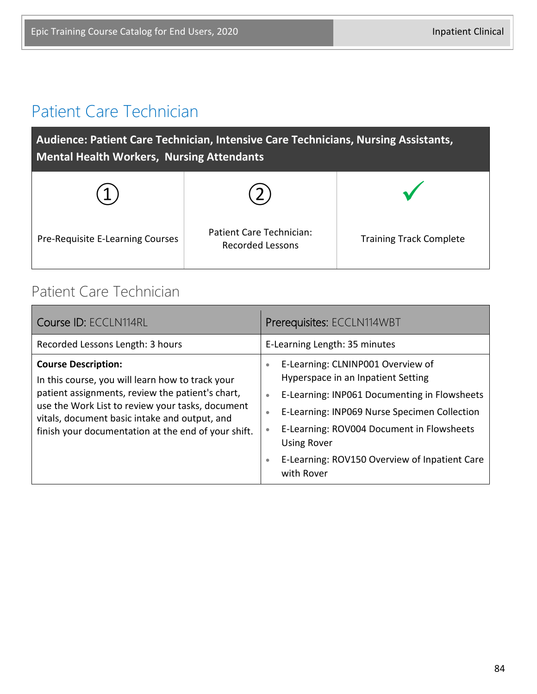#### Patient Care Technician

**Audience: Patient Care Technician, Intensive Care Technicians, Nursing Assistants, Mental Health Workers, Nursing Attendants**

| Pre-Requisite E-Learning Courses | Patient Care Technician:<br><b>Recorded Lessons</b> | <b>Training Track Complete</b> |
|----------------------------------|-----------------------------------------------------|--------------------------------|

#### Patient Care Technician

| Course ID: ECCLN114RL                                                                                                                                                                                                                                                                          | Prerequisites: ECCLN114WBT                                                                                                                                                                                                                                                                                                                                                 |  |
|------------------------------------------------------------------------------------------------------------------------------------------------------------------------------------------------------------------------------------------------------------------------------------------------|----------------------------------------------------------------------------------------------------------------------------------------------------------------------------------------------------------------------------------------------------------------------------------------------------------------------------------------------------------------------------|--|
| Recorded Lessons Length: 3 hours                                                                                                                                                                                                                                                               | E-Learning Length: 35 minutes                                                                                                                                                                                                                                                                                                                                              |  |
| <b>Course Description:</b><br>In this course, you will learn how to track your<br>patient assignments, review the patient's chart,<br>use the Work List to review your tasks, document<br>vitals, document basic intake and output, and<br>finish your documentation at the end of your shift. | E-Learning: CLNINP001 Overview of<br>$\bullet$<br>Hyperspace in an Inpatient Setting<br>E-Learning: INP061 Documenting in Flowsheets<br>$\bullet$<br>E-Learning: INP069 Nurse Specimen Collection<br>$\bullet$<br>E-Learning: ROV004 Document in Flowsheets<br>$\bullet$<br><b>Using Rover</b><br>E-Learning: ROV150 Overview of Inpatient Care<br>$\bullet$<br>with Rover |  |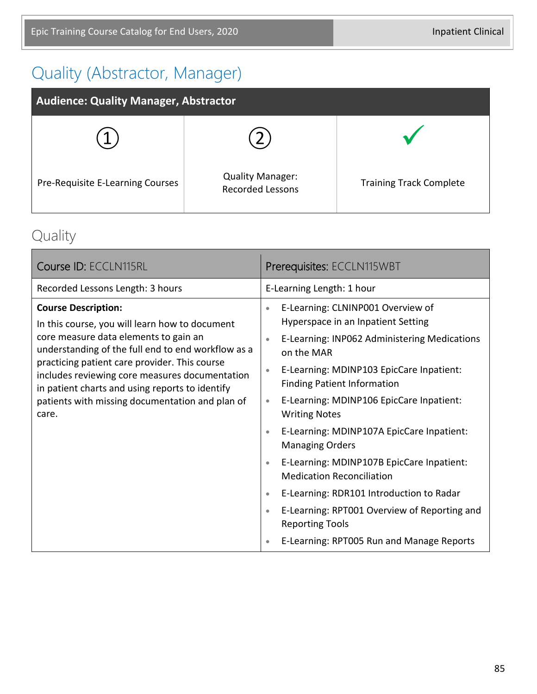### Quality (Abstractor, Manager)

| <b>Audience: Quality Manager, Abstractor</b> |                                                    |                                |
|----------------------------------------------|----------------------------------------------------|--------------------------------|
|                                              |                                                    |                                |
| Pre-Requisite E-Learning Courses             | <b>Quality Manager:</b><br><b>Recorded Lessons</b> | <b>Training Track Complete</b> |

### Quality

| Course ID: ECCLN115RL                                                                                                                                                                                                                                                                                                                                                                         | <b>Prerequisites: ECCLN115WBT</b>                                                                                                                                                                                                                                                                                                                                                                                                                                                                                                                                                                                                                                                                                                           |  |
|-----------------------------------------------------------------------------------------------------------------------------------------------------------------------------------------------------------------------------------------------------------------------------------------------------------------------------------------------------------------------------------------------|---------------------------------------------------------------------------------------------------------------------------------------------------------------------------------------------------------------------------------------------------------------------------------------------------------------------------------------------------------------------------------------------------------------------------------------------------------------------------------------------------------------------------------------------------------------------------------------------------------------------------------------------------------------------------------------------------------------------------------------------|--|
| Recorded Lessons Length: 3 hours                                                                                                                                                                                                                                                                                                                                                              | E-Learning Length: 1 hour                                                                                                                                                                                                                                                                                                                                                                                                                                                                                                                                                                                                                                                                                                                   |  |
| <b>Course Description:</b><br>In this course, you will learn how to document<br>core measure data elements to gain an<br>understanding of the full end to end workflow as a<br>practicing patient care provider. This course<br>includes reviewing core measures documentation<br>in patient charts and using reports to identify<br>patients with missing documentation and plan of<br>care. | E-Learning: CLNINP001 Overview of<br>$\bullet$<br>Hyperspace in an Inpatient Setting<br>E-Learning: INP062 Administering Medications<br>$\bullet$<br>on the MAR<br>E-Learning: MDINP103 EpicCare Inpatient:<br>$\bullet$<br><b>Finding Patient Information</b><br>E-Learning: MDINP106 EpicCare Inpatient:<br>$\bullet$<br><b>Writing Notes</b><br>E-Learning: MDINP107A EpicCare Inpatient:<br>$\bullet$<br><b>Managing Orders</b><br>E-Learning: MDINP107B EpicCare Inpatient:<br>$\bullet$<br><b>Medication Reconciliation</b><br>E-Learning: RDR101 Introduction to Radar<br>$\bullet$<br>E-Learning: RPT001 Overview of Reporting and<br>$\bullet$<br><b>Reporting Tools</b><br>E-Learning: RPT005 Run and Manage Reports<br>$\bullet$ |  |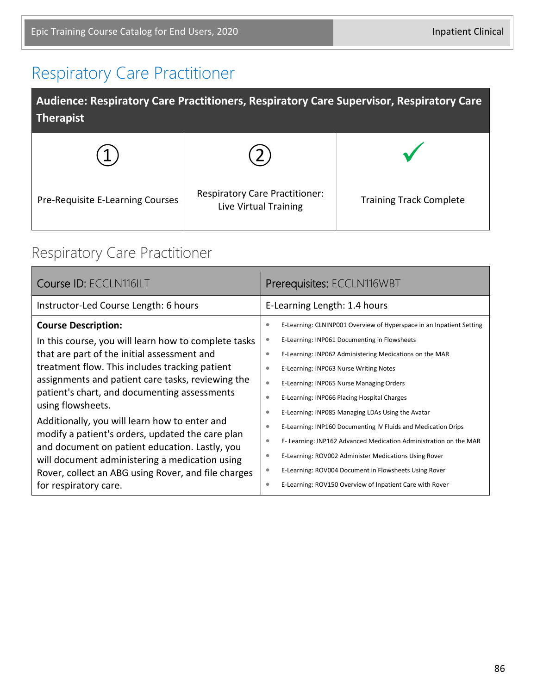### Respiratory Care Practitioner

| Audience: Respiratory Care Practitioners, Respiratory Care Supervisor, Respiratory Care<br><b>Therapist</b> |                                                                |                                |  |
|-------------------------------------------------------------------------------------------------------------|----------------------------------------------------------------|--------------------------------|--|
|                                                                                                             |                                                                |                                |  |
| Pre-Requisite E-Learning Courses                                                                            | <b>Respiratory Care Practitioner:</b><br>Live Virtual Training | <b>Training Track Complete</b> |  |

### Respiratory Care Practitioner

| Course ID: ECCLN116ILT                                                                             | Prerequisites: ECCLN116WBT                                                     |  |
|----------------------------------------------------------------------------------------------------|--------------------------------------------------------------------------------|--|
| Instructor-Led Course Length: 6 hours                                                              | E-Learning Length: 1.4 hours                                                   |  |
| <b>Course Description:</b>                                                                         | E-Learning: CLNINP001 Overview of Hyperspace in an Inpatient Setting           |  |
| In this course, you will learn how to complete tasks                                               | E-Learning: INP061 Documenting in Flowsheets<br>۰                              |  |
| that are part of the initial assessment and                                                        | $\bullet$<br>E-Learning: INP062 Administering Medications on the MAR           |  |
| treatment flow. This includes tracking patient                                                     | E-Learning: INP063 Nurse Writing Notes<br>٠                                    |  |
| assignments and patient care tasks, reviewing the                                                  | E-Learning: INP065 Nurse Managing Orders<br>$\bullet$                          |  |
| patient's chart, and documenting assessments<br>using flowsheets.                                  | E-Learning: INP066 Placing Hospital Charges<br>٠                               |  |
|                                                                                                    | E-Learning: INP085 Managing LDAs Using the Avatar<br>۰                         |  |
| Additionally, you will learn how to enter and                                                      | E-Learning: INP160 Documenting IV Fluids and Medication Drips<br>۰             |  |
| modify a patient's orders, updated the care plan<br>and document on patient education. Lastly, you | E- Learning: INP162 Advanced Medication Administration on the MAR<br>$\bullet$ |  |
| will document administering a medication using                                                     | E-Learning: ROV002 Administer Medications Using Rover<br>۰                     |  |
| Rover, collect an ABG using Rover, and file charges                                                | E-Learning: ROV004 Document in Flowsheets Using Rover<br>۰                     |  |
| for respiratory care.                                                                              | E-Learning: ROV150 Overview of Inpatient Care with Rover<br>۰                  |  |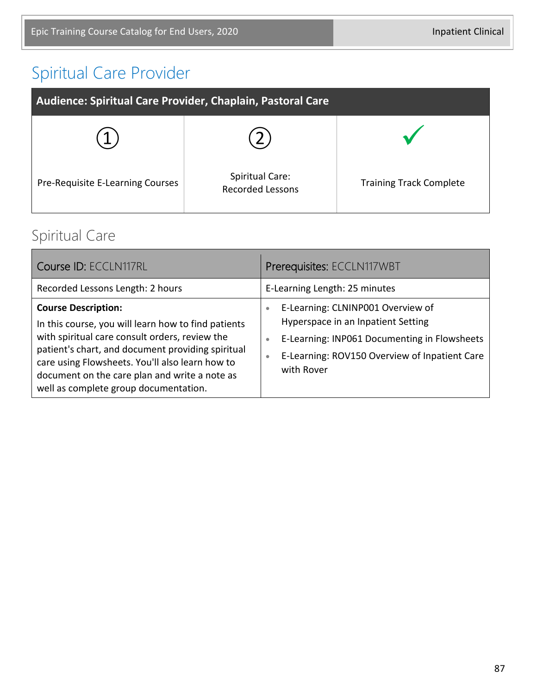# Spiritual Care Provider

| Audience: Spiritual Care Provider, Chaplain, Pastoral Care |                                                   |                                |
|------------------------------------------------------------|---------------------------------------------------|--------------------------------|
|                                                            |                                                   |                                |
| Pre-Requisite E-Learning Courses                           | <b>Spiritual Care:</b><br><b>Recorded Lessons</b> | <b>Training Track Complete</b> |

### Spiritual Care

| Course ID: ECCLN117RL                                                                                                                                                                                                                                                                                                                 | Prerequisites: ECCLN117WBT                                                                                                                                                                                                    |
|---------------------------------------------------------------------------------------------------------------------------------------------------------------------------------------------------------------------------------------------------------------------------------------------------------------------------------------|-------------------------------------------------------------------------------------------------------------------------------------------------------------------------------------------------------------------------------|
| Recorded Lessons Length: 2 hours                                                                                                                                                                                                                                                                                                      | E-Learning Length: 25 minutes                                                                                                                                                                                                 |
| <b>Course Description:</b><br>In this course, you will learn how to find patients<br>with spiritual care consult orders, review the<br>patient's chart, and document providing spiritual<br>care using Flowsheets. You'll also learn how to<br>document on the care plan and write a note as<br>well as complete group documentation. | E-Learning: CLNINP001 Overview of<br>$\bullet$<br>Hyperspace in an Inpatient Setting<br>E-Learning: INP061 Documenting in Flowsheets<br>$\bullet$<br>E-Learning: ROV150 Overview of Inpatient Care<br>$\bullet$<br>with Rover |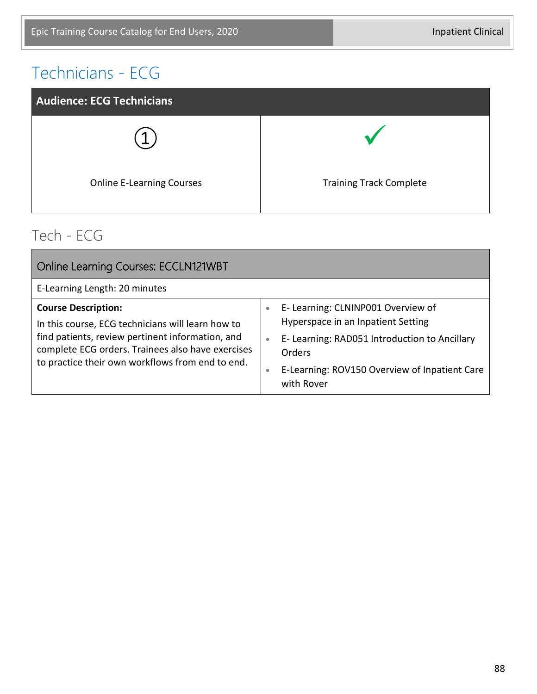### Technicians - ECG



#### Tech - ECG

| <b>Online Learning Courses: ECCLN121WBT</b>                                                                                                                                                                                                  |                                                                                                                                                                                                                                   |
|----------------------------------------------------------------------------------------------------------------------------------------------------------------------------------------------------------------------------------------------|-----------------------------------------------------------------------------------------------------------------------------------------------------------------------------------------------------------------------------------|
| E-Learning Length: 20 minutes                                                                                                                                                                                                                |                                                                                                                                                                                                                                   |
| <b>Course Description:</b><br>In this course, ECG technicians will learn how to<br>find patients, review pertinent information, and<br>complete ECG orders. Trainees also have exercises<br>to practice their own workflows from end to end. | E- Learning: CLNINP001 Overview of<br>$\bullet$<br>Hyperspace in an Inpatient Setting<br>E- Learning: RAD051 Introduction to Ancillary<br>$\bullet$<br>Orders<br>E-Learning: ROV150 Overview of Inpatient Care<br>۰<br>with Rover |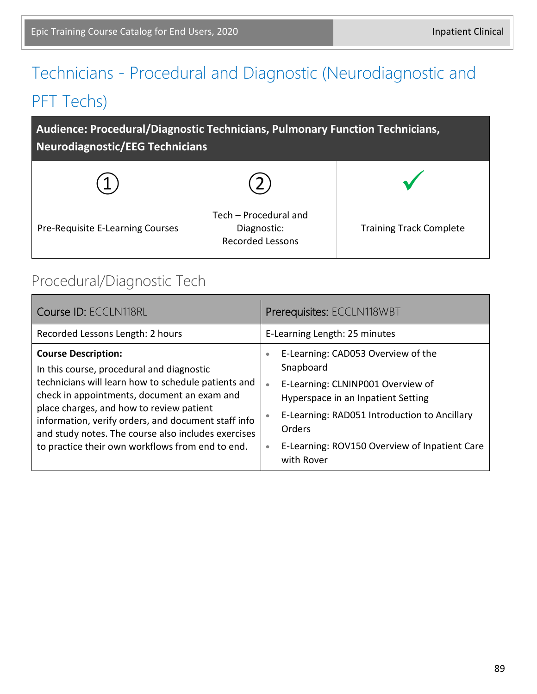# Technicians - Procedural and Diagnostic (Neurodiagnostic and PFT Techs)

**Audience: Procedural/Diagnostic Technicians, Pulmonary Function Technicians, Neurodiagnostic/EEG Technicians**



#### Procedural/Diagnostic Tech

| Course ID: ECCLN118RL                                                                                                                                                                                                                                                                                                                                                                       | Prerequisites: ECCLN118WBT                                                                                                                                                                                                                                                                                     |  |
|---------------------------------------------------------------------------------------------------------------------------------------------------------------------------------------------------------------------------------------------------------------------------------------------------------------------------------------------------------------------------------------------|----------------------------------------------------------------------------------------------------------------------------------------------------------------------------------------------------------------------------------------------------------------------------------------------------------------|--|
| Recorded Lessons Length: 2 hours                                                                                                                                                                                                                                                                                                                                                            | E-Learning Length: 25 minutes                                                                                                                                                                                                                                                                                  |  |
| <b>Course Description:</b><br>In this course, procedural and diagnostic<br>technicians will learn how to schedule patients and<br>check in appointments, document an exam and<br>place charges, and how to review patient<br>information, verify orders, and document staff info<br>and study notes. The course also includes exercises<br>to practice their own workflows from end to end. | E-Learning: CAD053 Overview of the<br>$\bullet$<br>Snapboard<br>E-Learning: CLNINP001 Overview of<br>$\bullet$<br>Hyperspace in an Inpatient Setting<br>E-Learning: RAD051 Introduction to Ancillary<br>$\bullet$<br><b>Orders</b><br>E-Learning: ROV150 Overview of Inpatient Care<br>$\bullet$<br>with Rover |  |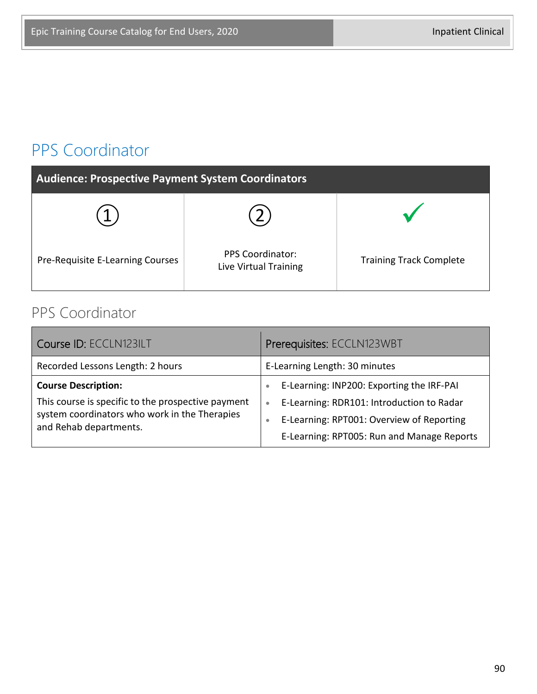### PPS Coordinator

| <b>Audience: Prospective Payment System Coordinators</b> |                                                  |                                |
|----------------------------------------------------------|--------------------------------------------------|--------------------------------|
|                                                          |                                                  |                                |
| Pre-Requisite E-Learning Courses                         | <b>PPS Coordinator:</b><br>Live Virtual Training | <b>Training Track Complete</b> |

### PPS Coordinator

| Course ID: ECCLN123ILT                                                                                                                                      | Prerequisites: ECCLN123WBT                                                                                                                                                                                               |  |
|-------------------------------------------------------------------------------------------------------------------------------------------------------------|--------------------------------------------------------------------------------------------------------------------------------------------------------------------------------------------------------------------------|--|
| Recorded Lessons Length: 2 hours                                                                                                                            | E-Learning Length: 30 minutes                                                                                                                                                                                            |  |
| <b>Course Description:</b><br>This course is specific to the prospective payment<br>system coordinators who work in the Therapies<br>and Rehab departments. | E-Learning: INP200: Exporting the IRF-PAI<br>$\bullet$<br>E-Learning: RDR101: Introduction to Radar<br>$\bullet$<br>E-Learning: RPT001: Overview of Reporting<br>$\bullet$<br>E-Learning: RPT005: Run and Manage Reports |  |